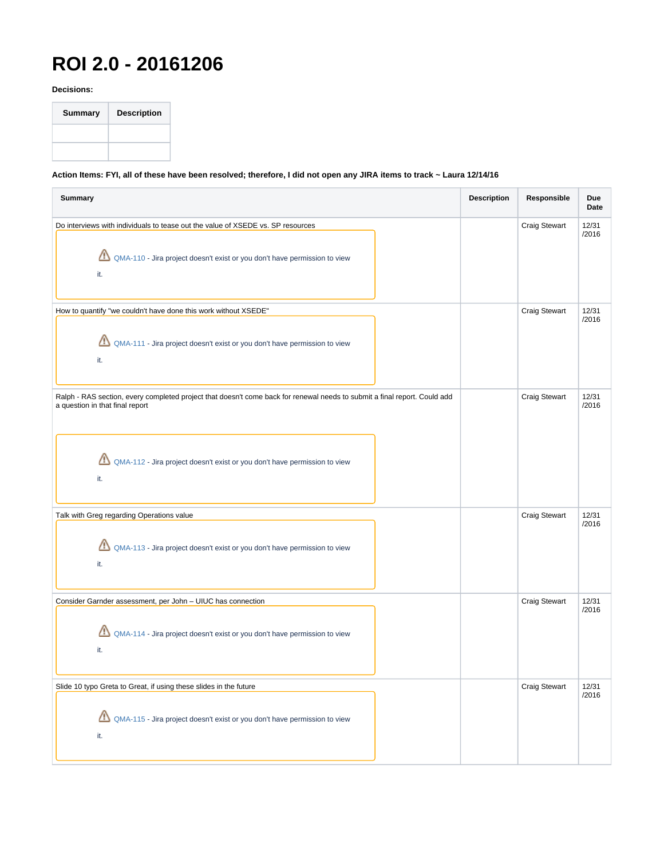## **ROI 2.0 - 20161206**

**Decisions:**



## **Action Items: FYI, all of these have been resolved; therefore, I did not open any JIRA items to track ~ Laura 12/14/16**

| <b>Summary</b>                                                                                                                                                                                                                                        | <b>Description</b> | Responsible          | Due<br>Date    |
|-------------------------------------------------------------------------------------------------------------------------------------------------------------------------------------------------------------------------------------------------------|--------------------|----------------------|----------------|
| Do interviews with individuals to tease out the value of XSEDE vs. SP resources<br>QMA-110 - Jira project doesn't exist or you don't have permission to view<br>it.                                                                                   |                    | Craig Stewart        | 12/31<br>/2016 |
| How to quantify "we couldn't have done this work without XSEDE"<br>QMA-111 - Jira project doesn't exist or you don't have permission to view<br>it.                                                                                                   |                    | <b>Craig Stewart</b> | 12/31<br>/2016 |
| Ralph - RAS section, every completed project that doesn't come back for renewal needs to submit a final report. Could add<br>a question in that final report<br>♨<br>QMA-112 - Jira project doesn't exist or you don't have permission to view<br>it. |                    | <b>Craig Stewart</b> | 12/31<br>/2016 |
| Talk with Greg regarding Operations value<br>QMA-113 - Jira project doesn't exist or you don't have permission to view<br>it.                                                                                                                         |                    | <b>Craig Stewart</b> | 12/31<br>/2016 |
| Consider Garnder assessment, per John - UIUC has connection<br>QMA-114 - Jira project doesn't exist or you don't have permission to view<br>Щ<br>it.                                                                                                  |                    | <b>Craig Stewart</b> | 12/31<br>/2016 |
| Slide 10 typo Greta to Great, if using these slides in the future<br>QMA-115 - Jira project doesn't exist or you don't have permission to view<br>it.                                                                                                 |                    | <b>Craig Stewart</b> | 12/31<br>/2016 |